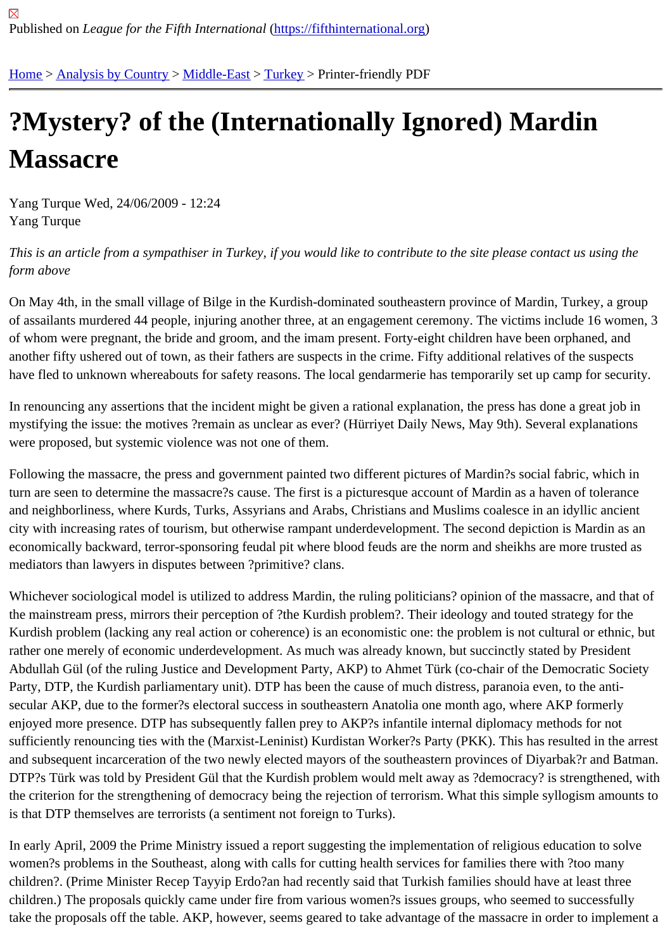## [?M](https://fifthinternational.org/)[ystery? of](https://fifthinternational.org/category/1) t[he \(Int](https://fifthinternational.org/category/1/178)[erna](https://fifthinternational.org/category/1/178/174)tionally Ignored) Mardin **Massacre**

Yang Turque Wed, 24/06/2009 - 12:24 Yang Turque

This is an article from a sympathiser in Turkey, if you would like to contribute to the site please contact us using the form above

On May 4th, in the small village of Bilge in the Kurdish-dominated southeastern province of Mardin, Turkey, a group of assailants murdered 44 people, injuring another three, at an engagement ceremony. The victims include 16 wor of whom were pregnant, the bride and groom, and the imam present. Forty-eight children have been orphaned, an another fifty ushered out of town, as their fathers are suspects in the crime. Fifty additional relatives of the suspect have fled to unknown whereabouts for safety reasons. The local gendarmerie has temporarily set up camp for sec

In renouncing any assertions that the incident might be given a rational explanation, the press has done a great jo mystifying the issue: the motives ?remain as unclear as ever? (Hürriyet Daily News, May 9th). Several explanatior were proposed, but systemic violence was not one of them.

Following the massacre, the press and government painted two different pictures of Mardin?s social fabric, which i turn are seen to determine the massacre?s cause. The first is a picturesque account of Mardin as a haven of toler and neighborliness, where Kurds, Turks, Assyrians and Arabs, Christians and Muslims coalesce in an idyllic ancie city with increasing rates of tourism, but otherwise rampant underdevelopment. The second depiction is Mardin as economically backward, terror-sponsoring feudal pit where blood feuds are the norm and sheikhs are more trusted mediators than lawyers in disputes between ?primitive? clans.

Whichever sociological model is utilized to address Mardin, the ruling politicians? opinion of the massacre, and tha the mainstream press, mirrors their perception of ?the Kurdish problem?. Their ideology and touted strategy for the Kurdish problem (lacking any real action or coherence) is an economistic one: the problem is not cultural or ethnic rather one merely of economic underdevelopment. As much was already known, but succinctly stated by Presiden Abdullah Gül (of the ruling Justice and Development Party, AKP) to Ahmet Türk (co-chair of the Democratic Societ Party, DTP, the Kurdish parliamentary unit). DTP has been the cause of much distress, paranoia even, to the antisecular AKP, due to the former?s electoral success in southeastern Anatolia one month ago, where AKP formerly enjoyed more presence. DTP has subsequently fallen prey to AKP?s infantile internal diplomacy methods for not sufficiently renouncing ties with the (Marxist-Leninist) Kurdistan Worker?s Party (PKK). This has resulted in the arr and subsequent incarceration of the two newly elected mayors of the southeastern provinces of Diyarbak?r and Ba DTP?s Türk was told by President Gül that the Kurdish problem would melt away as ?democracy? is strengthened the criterion for the strengthening of democracy being the rejection of terrorism. What this simple syllogism amoun is that DTP themselves are terrorists (a sentiment not foreign to Turks).

In early April, 2009 the Prime Ministry issued a report suggesting the implementation of religious education to solv women?s problems in the Southeast, along with calls for cutting health services for families there with ?too many children?. (Prime Minister Recep Tayyip Erdo?an had recently said that Turkish families should have at least three children.) The proposals quickly came under fire from various women?s issues groups, who seemed to successful take the proposals off the table. AKP, however, seems geared to take advantage of the massacre in order to imple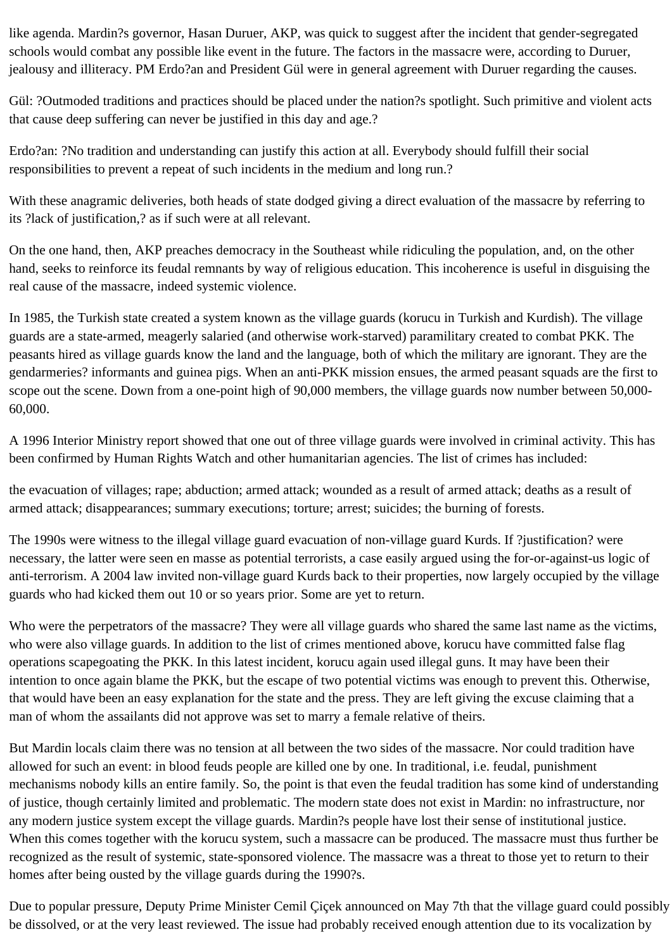like agenda. Mardin?s governor, Hasan Duruer, AKP, was quick to suggest after the incident that gender-segregated schools would combat any possible like event in the future. The factors in the massacre were, according to Duruer, jealousy and illiteracy. PM Erdo?an and President Gül were in general agreement with Duruer regarding the causes.

Gül: ?Outmoded traditions and practices should be placed under the nation?s spotlight. Such primitive and violent acts that cause deep suffering can never be justified in this day and age.?

Erdo?an: ?No tradition and understanding can justify this action at all. Everybody should fulfill their social responsibilities to prevent a repeat of such incidents in the medium and long run.?

With these anagramic deliveries, both heads of state dodged giving a direct evaluation of the massacre by referring to its ?lack of justification,? as if such were at all relevant.

On the one hand, then, AKP preaches democracy in the Southeast while ridiculing the population, and, on the other hand, seeks to reinforce its feudal remnants by way of religious education. This incoherence is useful in disguising the real cause of the massacre, indeed systemic violence.

In 1985, the Turkish state created a system known as the village guards (korucu in Turkish and Kurdish). The village guards are a state-armed, meagerly salaried (and otherwise work-starved) paramilitary created to combat PKK. The peasants hired as village guards know the land and the language, both of which the military are ignorant. They are the gendarmeries? informants and guinea pigs. When an anti-PKK mission ensues, the armed peasant squads are the first to scope out the scene. Down from a one-point high of 90,000 members, the village guards now number between 50,000- 60,000.

A 1996 Interior Ministry report showed that one out of three village guards were involved in criminal activity. This has been confirmed by Human Rights Watch and other humanitarian agencies. The list of crimes has included:

the evacuation of villages; rape; abduction; armed attack; wounded as a result of armed attack; deaths as a result of armed attack; disappearances; summary executions; torture; arrest; suicides; the burning of forests.

The 1990s were witness to the illegal village guard evacuation of non-village guard Kurds. If ?justification? were necessary, the latter were seen en masse as potential terrorists, a case easily argued using the for-or-against-us logic of anti-terrorism. A 2004 law invited non-village guard Kurds back to their properties, now largely occupied by the village guards who had kicked them out 10 or so years prior. Some are yet to return.

Who were the perpetrators of the massacre? They were all village guards who shared the same last name as the victims, who were also village guards. In addition to the list of crimes mentioned above, korucu have committed false flag operations scapegoating the PKK. In this latest incident, korucu again used illegal guns. It may have been their intention to once again blame the PKK, but the escape of two potential victims was enough to prevent this. Otherwise, that would have been an easy explanation for the state and the press. They are left giving the excuse claiming that a man of whom the assailants did not approve was set to marry a female relative of theirs.

But Mardin locals claim there was no tension at all between the two sides of the massacre. Nor could tradition have allowed for such an event: in blood feuds people are killed one by one. In traditional, i.e. feudal, punishment mechanisms nobody kills an entire family. So, the point is that even the feudal tradition has some kind of understanding of justice, though certainly limited and problematic. The modern state does not exist in Mardin: no infrastructure, nor any modern justice system except the village guards. Mardin?s people have lost their sense of institutional justice. When this comes together with the korucu system, such a massacre can be produced. The massacre must thus further be recognized as the result of systemic, state-sponsored violence. The massacre was a threat to those yet to return to their homes after being ousted by the village guards during the 1990?s.

Due to popular pressure, Deputy Prime Minister Cemil Çiçek announced on May 7th that the village guard could possibly be dissolved, or at the very least reviewed. The issue had probably received enough attention due to its vocalization by